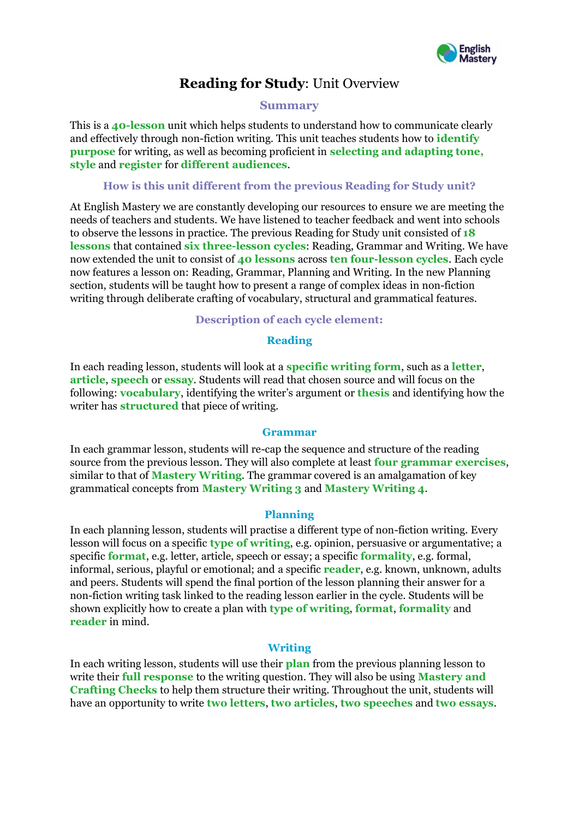

# **Reading for Study**: Unit Overview

## **Summary**

This is a **40-lesson** unit which helps students to understand how to communicate clearly and effectively through non-fiction writing. This unit teaches students how to **identify purpose** for writing, as well as becoming proficient in **selecting and adapting tone, style** and **register** for **different audiences**.

## **How is this unit different from the previous Reading for Study unit?**

At English Mastery we are constantly developing our resources to ensure we are meeting the needs of teachers and students. We have listened to teacher feedback and went into schools to observe the lessons in practice. The previous Reading for Study unit consisted of **18 lessons** that contained **six three-lesson cycles**: Reading, Grammar and Writing. We have now extended the unit to consist of **40 lessons** across **ten four-lesson cycles**. Each cycle now features a lesson on: Reading, Grammar, Planning and Writing. In the new Planning section, students will be taught how to present a range of complex ideas in non-fiction writing through deliberate crafting of vocabulary, structural and grammatical features.

## **Description of each cycle element:**

## **Reading**

In each reading lesson, students will look at a **specific writing form**, such as a **letter**, **article**, **speech** or **essay**. Students will read that chosen source and will focus on the following: **vocabulary**, identifying the writer's argument or **thesis** and identifying how the writer has **structured** that piece of writing.

#### **Grammar**

In each grammar lesson, students will re-cap the sequence and structure of the reading source from the previous lesson. They will also complete at least **four grammar exercises**, similar to that of **Mastery Writing**. The grammar covered is an amalgamation of key grammatical concepts from **Mastery Writing 3** and **Mastery Writing 4**.

#### **Planning**

In each planning lesson, students will practise a different type of non-fiction writing. Every lesson will focus on a specific **type of writing**, e.g. opinion, persuasive or argumentative; a specific **format**, e.g. letter, article, speech or essay; a specific **formality**, e.g. formal, informal, serious, playful or emotional; and a specific **reader**, e.g. known, unknown, adults and peers. Students will spend the final portion of the lesson planning their answer for a non-fiction writing task linked to the reading lesson earlier in the cycle. Students will be shown explicitly how to create a plan with **type of writing**, **format**, **formality** and **reader** in mind.

# **Writing**

In each writing lesson, students will use their **plan** from the previous planning lesson to write their **full response** to the writing question. They will also be using **Mastery and Crafting Checks** to help them structure their writing. Throughout the unit, students will have an opportunity to write **two letters**, **two articles**, **two speeches** and **two essays**.